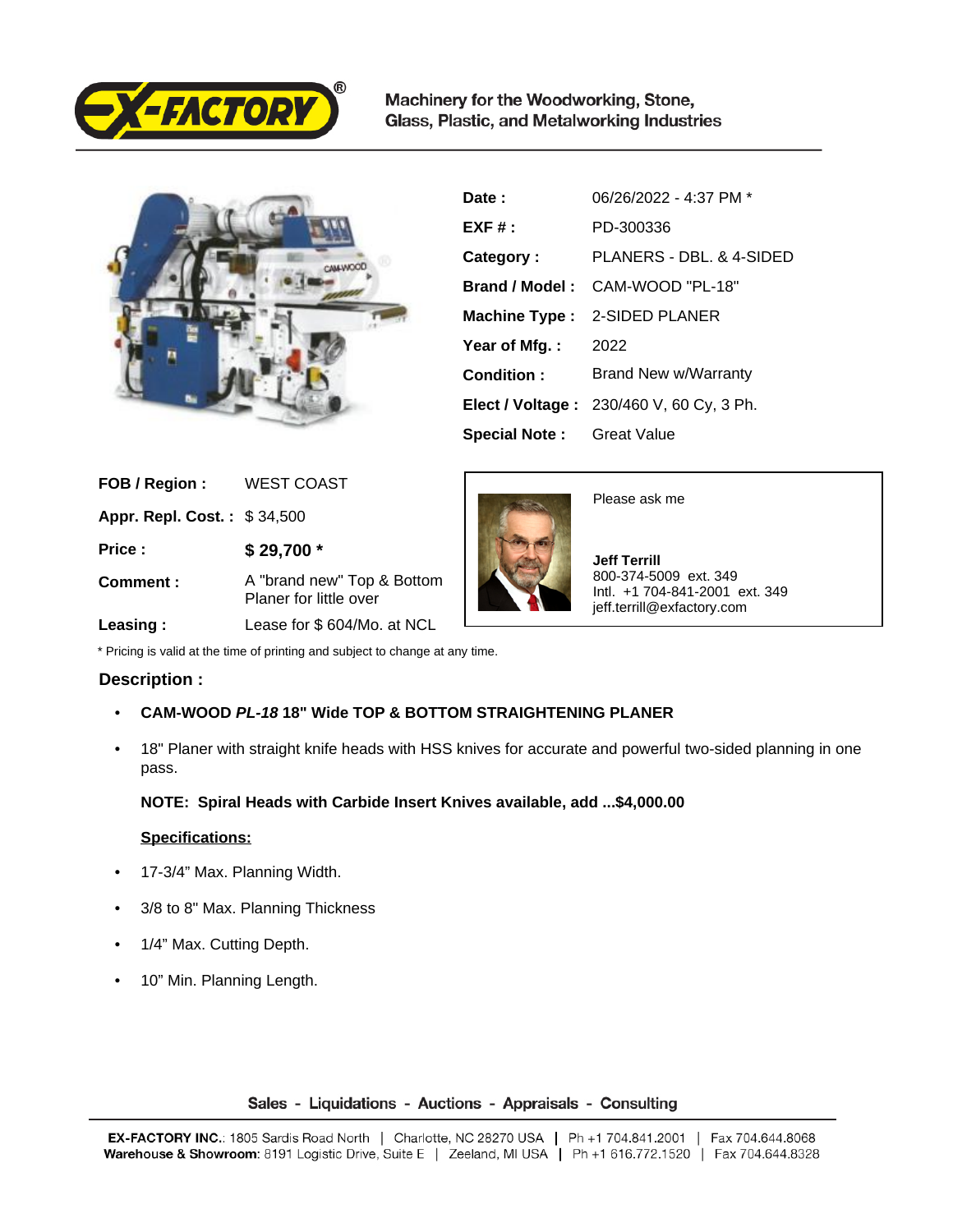

Machinery for the Woodworking, Stone, Glass, Plastic, and Metalworking Industries



| Date:                 | 06/26/2022 - 4:37 PM *                   |
|-----------------------|------------------------------------------|
| $EXF#$ :              | PD-300336                                |
| Category:             | PLANERS - DBL. & 4-SIDED                 |
| Brand / Model:        | CAM-WOOD "PL-18"                         |
|                       | Machine Type: 2-SIDED PLANER             |
| Year of Mfg. :        | 2022                                     |
| Condition:            | Brand New w/Warranty                     |
|                       | Elect / Voltage: 230/460 V, 60 Cy, 3 Ph. |
| <b>Special Note :</b> | <b>Great Value</b>                       |

| FOB / Region:               | WEST COAST                                           |
|-----------------------------|------------------------------------------------------|
| Appr. Repl. Cost.: \$34,500 |                                                      |
| Price:                      | $$29,700*$                                           |
| Comment:                    | A "brand new" Top & Bottom<br>Planer for little over |



Please ask me

 **Jeff Terrill** 800-374-5009 ext. 349 Intl. +1 704-841-2001 ext. 349 jeff.terrill@exfactory.com

 **Leasing :** Lease for \$ 604/Mo. at NCL

\* Pricing is valid at the time of printing and subject to change at any time.

# **Description :**

- **CAM-WOOD PL-18 18" Wide TOP & BOTTOM STRAIGHTENING PLANER**
- 18" Planer with straight knife heads with HSS knives for accurate and powerful two-sided planning in one pass.

## **NOTE: Spiral Heads with Carbide Insert Knives available, add ...\$4,000.00**

## **Specifications:**

- 17-3/4" Max. Planning Width.
- 3/8 to 8" Max. Planning Thickness
- 1/4" Max. Cutting Depth.
- 10" Min. Planning Length.

Sales - Liquidations - Auctions - Appraisals - Consulting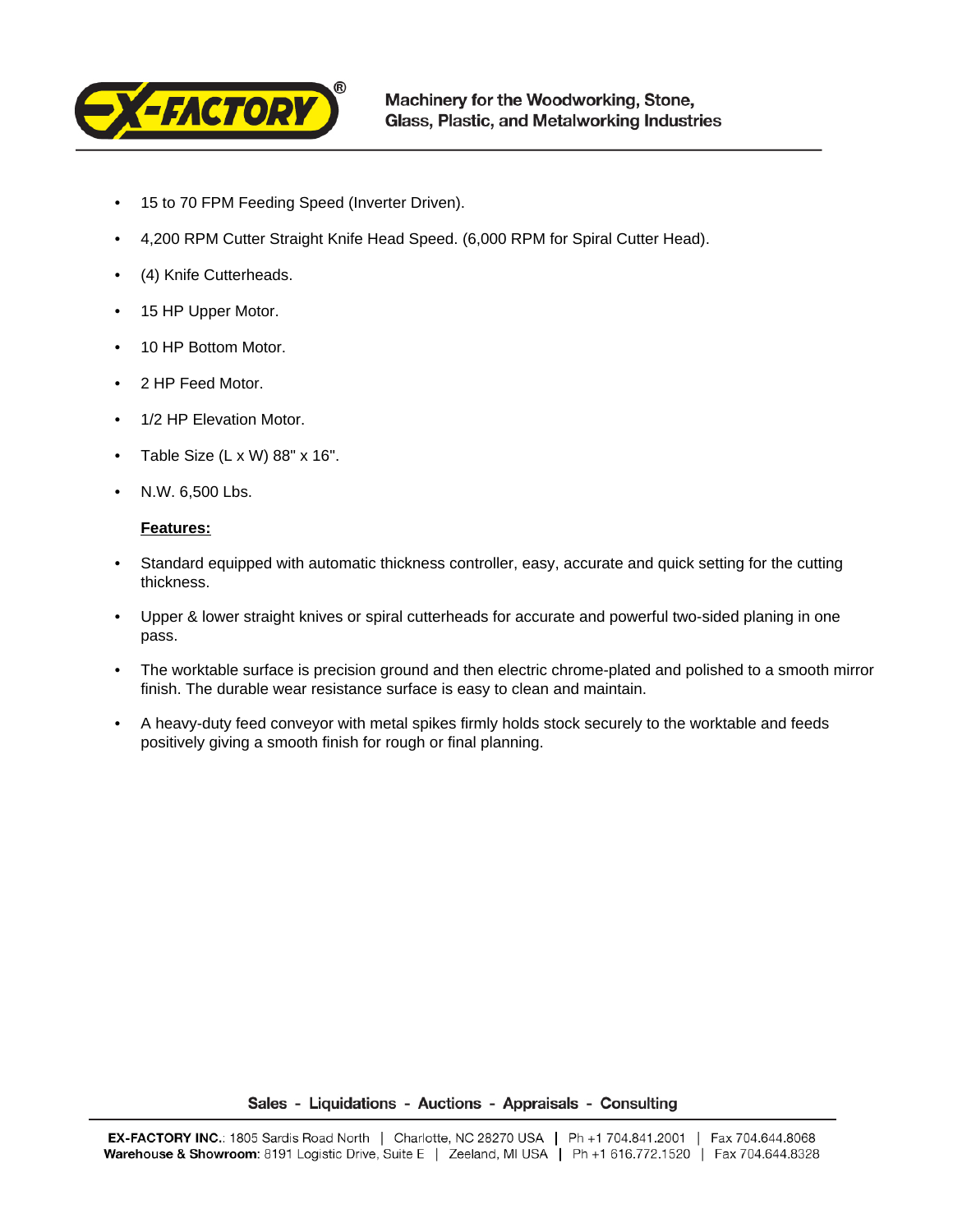

- 15 to 70 FPM Feeding Speed (Inverter Driven).
- 4,200 RPM Cutter Straight Knife Head Speed. (6,000 RPM for Spiral Cutter Head).
- (4) Knife Cutterheads.
- 15 HP Upper Motor.
- 10 HP Bottom Motor.
- 2 HP Feed Motor.
- 1/2 HP Elevation Motor.
- Table Size (L x W) 88" x 16".
- N.W. 6,500 Lbs.

#### **Features:**

- Standard equipped with automatic thickness controller, easy, accurate and quick setting for the cutting thickness.
- Upper & lower straight knives or spiral cutterheads for accurate and powerful two-sided planing in one pass.
- The worktable surface is precision ground and then electric chrome-plated and polished to a smooth mirror finish. The durable wear resistance surface is easy to clean and maintain.
- A heavy-duty feed conveyor with metal spikes firmly holds stock securely to the worktable and feeds positively giving a smooth finish for rough or final planning.

Sales - Liquidations - Auctions - Appraisals - Consulting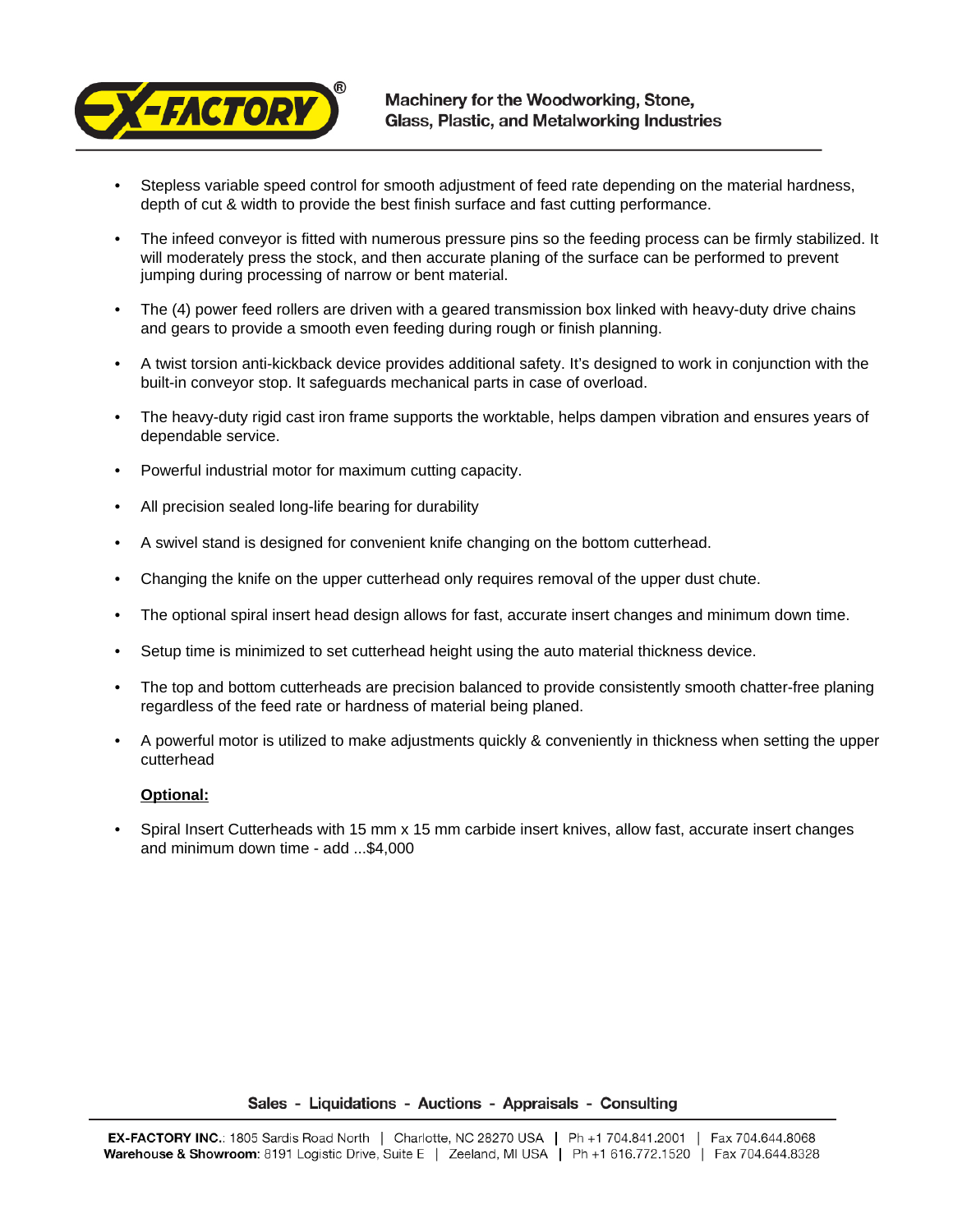

- Stepless variable speed control for smooth adjustment of feed rate depending on the material hardness, depth of cut & width to provide the best finish surface and fast cutting performance.
- The infeed conveyor is fitted with numerous pressure pins so the feeding process can be firmly stabilized. It will moderately press the stock, and then accurate planing of the surface can be performed to prevent jumping during processing of narrow or bent material.
- The (4) power feed rollers are driven with a geared transmission box linked with heavy-duty drive chains and gears to provide a smooth even feeding during rough or finish planning.
- A twist torsion anti-kickback device provides additional safety. It's designed to work in conjunction with the built-in conveyor stop. It safeguards mechanical parts in case of overload.
- The heavy-duty rigid cast iron frame supports the worktable, helps dampen vibration and ensures years of dependable service.
- Powerful industrial motor for maximum cutting capacity.
- All precision sealed long-life bearing for durability
- A swivel stand is designed for convenient knife changing on the bottom cutterhead.
- Changing the knife on the upper cutterhead only requires removal of the upper dust chute.
- The optional spiral insert head design allows for fast, accurate insert changes and minimum down time.
- Setup time is minimized to set cutterhead height using the auto material thickness device.
- The top and bottom cutterheads are precision balanced to provide consistently smooth chatter-free planing regardless of the feed rate or hardness of material being planed.
- A powerful motor is utilized to make adjustments quickly & conveniently in thickness when setting the upper cutterhead

#### **Optional:**

• Spiral Insert Cutterheads with 15 mm x 15 mm carbide insert knives, allow fast, accurate insert changes and minimum down time - add ...\$4,000